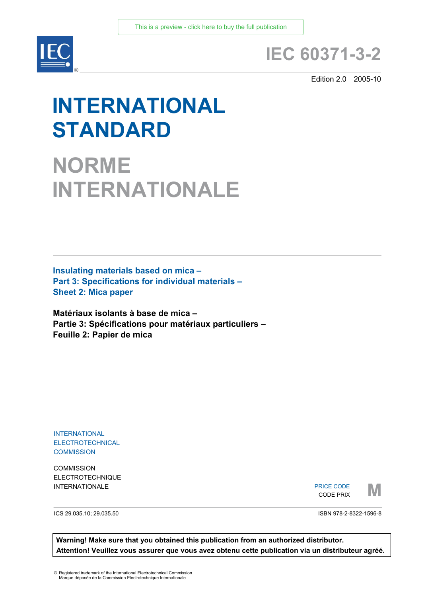

## **IEC 60371-3-2**

Edition 2.0 2005-10

# **INTERNATIONAL STANDARD**

**NORME INTERNATIONALE**

**Insulating materials based on mica – Part 3: Specifications for individual materials – Sheet 2: Mica paper**

**Matériaux isolants à base de mica – Partie 3: Spécifications pour matériaux particuliers – Feuille 2: Papier de mica**

INTERNATIONAL **ELECTROTECHNICAL COMMISSION** 

**COMMISSION** ELECTROTECHNIQUE

INTERNATIONALE PRICE CODE PRIX PRICE CODE CODE PRIX



ICS 29.035.10; 29.035.50

ISBN 978-2-8322-1596-8

**Warning! Make sure that you obtained this publication from an authorized distributor. Attention! Veuillez vous assurer que vous avez obtenu cette publication via un distributeur agréé.**

® Registered trademark of the International Electrotechnical Commission Marque déposée de la Commission Electrotechnique Internationale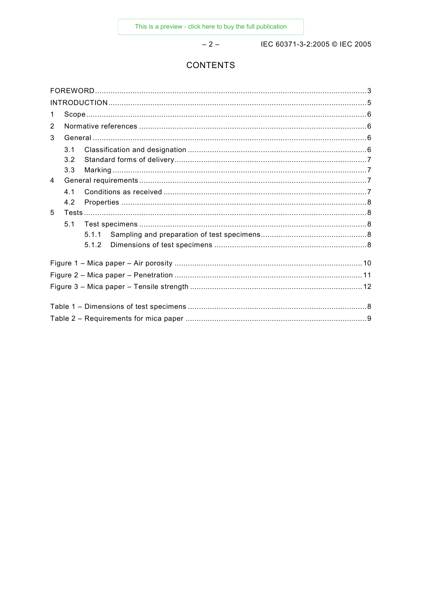$-2-$ 

IEC 60371-3-2:2005 © IEC 2005

## **CONTENTS**

| 1              |     |       |  |  |  |  |
|----------------|-----|-------|--|--|--|--|
| $\overline{2}$ |     |       |  |  |  |  |
| 3              |     |       |  |  |  |  |
|                | 3.1 |       |  |  |  |  |
|                | 3.2 |       |  |  |  |  |
|                | 3.3 |       |  |  |  |  |
| $\overline{4}$ |     |       |  |  |  |  |
|                | 4.1 |       |  |  |  |  |
|                | 4.2 |       |  |  |  |  |
| 5              |     |       |  |  |  |  |
|                | 5.1 |       |  |  |  |  |
|                |     | 5.1.1 |  |  |  |  |
|                |     | 5.1.2 |  |  |  |  |
|                |     |       |  |  |  |  |
|                |     |       |  |  |  |  |
|                |     |       |  |  |  |  |
|                |     |       |  |  |  |  |
|                |     |       |  |  |  |  |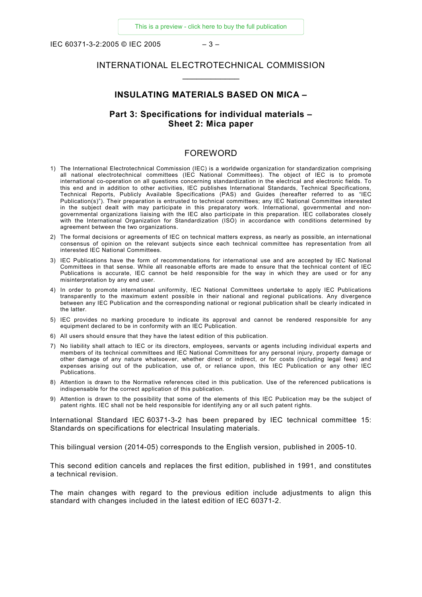IEC 60371-3-2:2005 © IEC 2005  $-3-$ 

## INTERNATIONAL ELECTROTECHNICAL COMMISSION \_\_\_\_\_\_\_\_\_\_\_\_

## **INSULATING MATERIALS BASED ON MICA –**

## **Part 3: Specifications for individual materials – Sheet 2: Mica paper**

## FOREWORD

- 1) The International Electrotechnical Commission (IEC) is a worldwide organization for standardization comprising all national electrotechnical committees (IEC National Committees). The object of IEC is to promote international co-operation on all questions concerning standardization in the electrical and electronic fields. To this end and in addition to other activities, IEC publishes International Standards, Technical Specifications, Technical Reports, Publicly Available Specifications (PAS) and Guides (hereafter referred to as "IEC Publication(s)"). Their preparation is entrusted to technical committees; any IEC National Committee interested in the subject dealt with may participate in this preparatory work. International, governmental and nongovernmental organizations liaising with the IEC also participate in this preparation. IEC collaborates closely with the International Organization for Standardization (ISO) in accordance with conditions determined by agreement between the two organizations.
- 2) The formal decisions or agreements of IEC on technical matters express, as nearly as possible, an international consensus of opinion on the relevant subjects since each technical committee has representation from all interested IEC National Committees.
- 3) IEC Publications have the form of recommendations for international use and are accepted by IEC National Committees in that sense. While all reasonable efforts are made to ensure that the technical content of IEC Publications is accurate, IEC cannot be held responsible for the way in which they are used or for any misinterpretation by any end user.
- 4) In order to promote international uniformity, IEC National Committees undertake to apply IEC Publications transparently to the maximum extent possible in their national and regional publications. Any divergence between any IEC Publication and the corresponding national or regional publication shall be clearly indicated in the latter.
- 5) IEC provides no marking procedure to indicate its approval and cannot be rendered responsible for any equipment declared to be in conformity with an IEC Publication.
- 6) All users should ensure that they have the latest edition of this publication.
- 7) No liability shall attach to IEC or its directors, employees, servants or agents including individual experts and members of its technical committees and IEC National Committees for any personal injury, property damage or other damage of any nature whatsoever, whether direct or indirect, or for costs (including legal fees) and expenses arising out of the publication, use of, or reliance upon, this IEC Publication or any other IEC Publications.
- 8) Attention is drawn to the Normative references cited in this publication. Use of the referenced publications is indispensable for the correct application of this publication.
- 9) Attention is drawn to the possibility that some of the elements of this IEC Publication may be the subject of patent rights. IEC shall not be held responsible for identifying any or all such patent rights.

International Standard IEC 60371-3-2 has been prepared by IEC technical committee 15: Standards on specifications for electrical Insulating materials.

This bilingual version (2014-05) corresponds to the English version, published in 2005-10.

This second edition cancels and replaces the first edition, published in 1991, and constitutes a technical revision.

The main changes with regard to the previous edition include adjustments to align this standard with changes included in the latest edition of IEC 60371-2.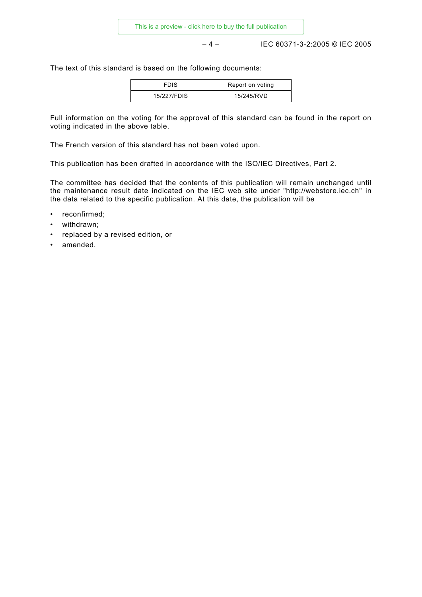– 4 – IEC 60371-3-2:2005 © IEC 2005

The text of this standard is based on the following documents:

| <b>FDIS</b> | Report on voting |
|-------------|------------------|
| 15/227/FDIS | 15/245/RVD       |

Full information on the voting for the approval of this standard can be found in the report on voting indicated in the above table.

The French version of this standard has not been voted upon.

This publication has been drafted in accordance with the ISO/IEC Directives, Part 2.

The committee has decided that the contents of this publication will remain unchanged until the maintenance result date indicated on the IEC web site under "http://webstore.iec.ch" in the data related to the specific publication. At this date, the publication will be

- reconfirmed:
- withdrawn;
- replaced by a revised edition, or
- amended.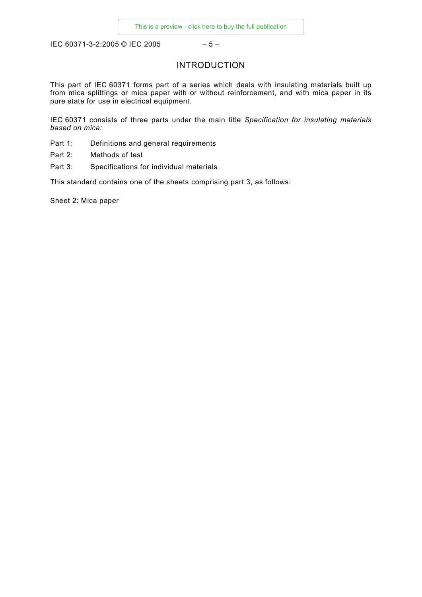IEC 60371-3-2:2005 © IEC 2005 – 5 –

## INTRODUCTION

This part of IEC 60371 forms part of a series which deals with insulating materials built up from mica splittings or mica paper with or without reinforcement, and with mica paper in its pure state for use in electrical equipment.

IEC 60371 consists of three parts under the main title *Specification for insulating materials based on mica:*

Part 1: Definitions and general requirements

Part 2: Methods of test

Part 3: Specifications for individual materials

This standard contains one of the sheets comprising part 3, as follows:

Sheet 2: Mica paper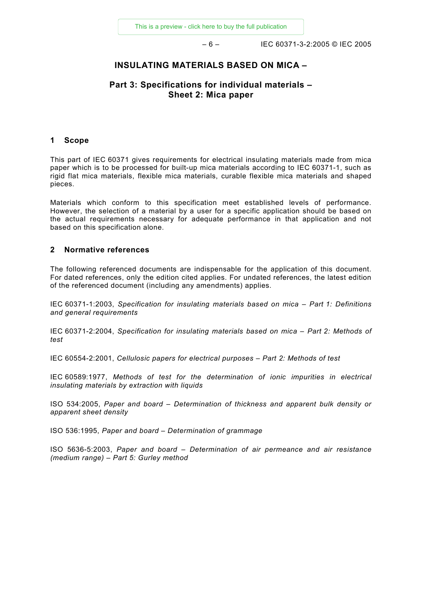– 6 – IEC 60371-3-2:2005 © IEC 2005

## **INSULATING MATERIALS BASED ON MICA –**

## **Part 3: Specifications for individual materials – Sheet 2: Mica paper**

#### **1 Scope**

This part of IEC 60371 gives requirements for electrical insulating materials made from mica paper which is to be processed for built-up mica materials according to IEC 60371-1, such as rigid flat mica materials, flexible mica materials, curable flexible mica materials and shaped pieces.

Materials which conform to this specification meet established levels of performance. However, the selection of a material by a user for a specific application should be based on the actual requirements necessary for adequate performance in that application and not based on this specification alone.

#### **2 Normative references**

The following referenced documents are indispensable for the application of this document. For dated references, only the edition cited applies. For undated references, the latest edition of the referenced document (including any amendments) applies.

IEC 60371-1:2003, *Specification for insulating materials based on mica – Part 1: Definitions and general requirements*

IEC 60371-2:2004, *Specification for insulating materials based on mica – Part 2: Methods of test*

IEC 60554-2:2001, *Cellulosic papers for electrical purposes – Part 2: Methods of test*

IEC 60589:1977, *Methods of test for the determination of ionic impurities in electrical insulating materials by extraction with liquids*

ISO 534:2005, *Paper and board – Determination of thickness and apparent bulk density or apparent sheet density*

ISO 536:1995, *Paper and board – Determination of grammage*

ISO 5636-5:2003, *Paper and board – Determination of air permeance and air resistance (medium range) – Part 5: Gurley method*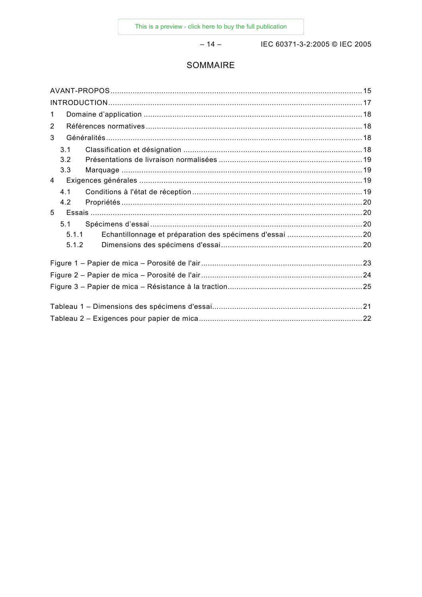$-14-$ 

IEC 60371-3-2:2005 © IEC 2005

## SOMMAIRE

| $\mathbf{1}$ |  |  |  |  |
|--------------|--|--|--|--|
| 2            |  |  |  |  |
| 3            |  |  |  |  |
| 3.1          |  |  |  |  |
| 3.2          |  |  |  |  |
| 3.3          |  |  |  |  |
| 4            |  |  |  |  |
| 4.1          |  |  |  |  |
| 4.2          |  |  |  |  |
| 5            |  |  |  |  |
| 5.1          |  |  |  |  |
| 5.1.1        |  |  |  |  |
| 5.1.2        |  |  |  |  |
|              |  |  |  |  |
|              |  |  |  |  |
|              |  |  |  |  |
|              |  |  |  |  |
|              |  |  |  |  |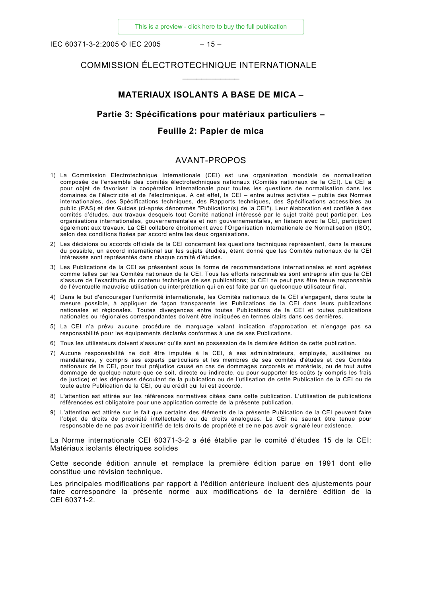IEC 60371-3-2:2005 © IEC 2005 – 15 –

## COMMISSION ÉLECTROTECHNIQUE INTERNATIONALE

## **MATERIAUX ISOLANTS A BASE DE MICA –**

\_\_\_\_\_\_\_\_\_\_\_\_

## **Partie 3: Spécifications pour matériaux particuliers –**

## **Feuille 2: Papier de mica**

## AVANT-PROPOS

- 1) La Commission Electrotechnique Internationale (CEI) est une organisation mondiale de normalisation composée de l'ensemble des comités électrotechniques nationaux (Comités nationaux de la CEI). La CEI a pour objet de favoriser la coopération internationale pour toutes les questions de normalisation dans les domaines de l'électricité et de l'électronique. A cet effet, la CEI – entre autres activités – publie des Normes internationales, des Spécifications techniques, des Rapports techniques, des Spécifications accessibles au public (PAS) et des Guides (ci-après dénommés "Publication(s) de la CEI"). Leur élaboration est confiée à des comités d'études, aux travaux desquels tout Comité national intéressé par le sujet traité peut participer. Les organisations internationales, gouvernementales et non gouvernementales, en liaison avec la CEI, participent également aux travaux. La CEI collabore étroitement avec l'Organisation Internationale de Normalisation (ISO), selon des conditions fixées par accord entre les deux organisations.
- 2) Les décisions ou accords officiels de la CEI concernant les questions techniques représentent, dans la mesure du possible, un accord international sur les sujets étudiés, étant donné que les Comités nationaux de la CEI intéressés sont représentés dans chaque comité d'études.
- 3) Les Publications de la CEI se présentent sous la forme de recommandations internationales et sont agréées comme telles par les Comités nationaux de la CEI. Tous les efforts raisonnables sont entrepris afin que la CEI s'assure de l'exactitude du contenu technique de ses publications; la CEI ne peut pas être tenue responsable de l'éventuelle mauvaise utilisation ou interprétation qui en est faite par un quelconque utilisateur final.
- 4) Dans le but d'encourager l'uniformité internationale, les Comités nationaux de la CEI s'engagent, dans toute la mesure possible, à appliquer de façon transparente les Publications de la CEI dans leurs publications nationales et régionales. Toutes divergences entre toutes Publications de la CEI et toutes publications nationales ou régionales correspondantes doivent être indiquées en termes clairs dans ces dernières.
- 5) La CEI n'a prévu aucune procédure de marquage valant indication d'approbation et n'engage pas sa responsabilité pour les équipements déclarés conformes à une de ses Publications.
- 6) Tous les utilisateurs doivent s'assurer qu'ils sont en possession de la dernière édition de cette publication.
- 7) Aucune responsabilité ne doit être imputée à la CEI, à ses administrateurs, employés, auxiliaires ou mandataires, y compris ses experts particuliers et les membres de ses comités d'études et des Comités nationaux de la CEI, pour tout préjudice causé en cas de dommages corporels et matériels, ou de tout autre dommage de quelque nature que ce soit, directe ou indirecte, ou pour supporter les coûts (y compris les frais de justice) et les dépenses découlant de la publication ou de l'utilisation de cette Publication de la CEI ou de toute autre Publication de la CEI, ou au crédit qui lui est accordé.
- 8) L'attention est attirée sur les références normatives citées dans cette publication. L'utilisation de publications référencées est obligatoire pour une application correcte de la présente publication.
- 9) L'attention est attirée sur le fait que certains des éléments de la présente Publication de la CEI peuvent faire l'objet de droits de propriété intellectuelle ou de droits analogues. La CEI ne saurait être tenue pour responsable de ne pas avoir identifié de tels droits de propriété et de ne pas avoir signalé leur existence.

La Norme internationale CEI 60371-3-2 a été établie par le comité d'études 15 de la CEI: Matériaux isolants électriques solides

Cette seconde édition annule et remplace la première édition parue en 1991 dont elle constitue une révision technique.

Les principales modifications par rapport à l'édition antérieure incluent des ajustements pour faire correspondre la présente norme aux modifications de la dernière édition de la CEI 60371-2.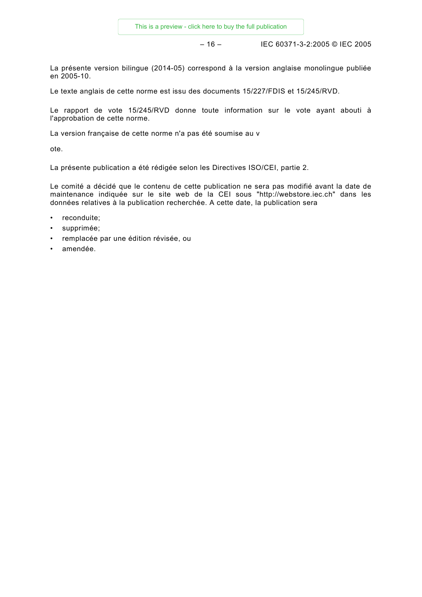– 16 – IEC 60371-3-2:2005 © IEC 2005

La présente version bilingue (2014-05) correspond à la version anglaise monolingue publiée en 2005-10.

Le texte anglais de cette norme est issu des documents 15/227/FDIS et 15/245/RVD.

Le rapport de vote 15/245/RVD donne toute information sur le vote ayant abouti à l'approbation de cette norme.

La version française de cette norme n'a pas été soumise au v

ote.

La présente publication a été rédigée selon les Directives ISO/CEI, partie 2.

Le comité a décidé que le contenu de cette publication ne sera pas modifié avant la date de maintenance indiquée sur le site web de la CEI sous "http://webstore.iec.ch" dans les données relatives à la publication recherchée. A cette date, la publication sera

- reconduite;
- supprimée;
- remplacée par une édition révisée, ou
- amendée.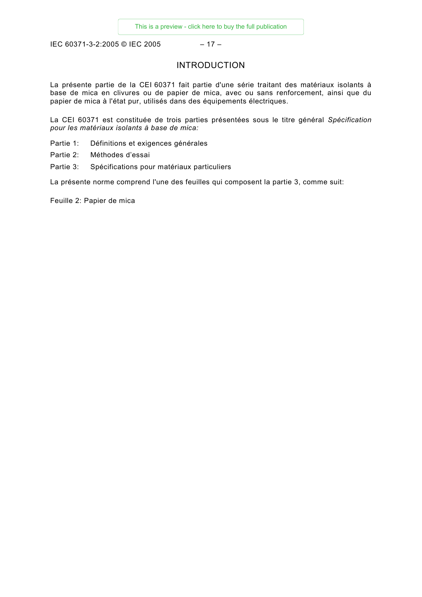IEC 60371-3-2:2005 © IEC 2005 – 17 –

## INTRODUCTION

La présente partie de la CEI 60371 fait partie d'une série traitant des matériaux isolants à base de mica en clivures ou de papier de mica, avec ou sans renforcement, ainsi que du papier de mica à l'état pur, utilisés dans des équipements électriques.

La CEI 60371 est constituée de trois parties présentées sous le titre général *Spécification pour les matériaux isolants à base de mica:*

Partie 1: Définitions et exigences générales

Partie 2: Méthodes d'essai

Partie 3: Spécifications pour matériaux particuliers

La présente norme comprend l'une des feuilles qui composent la partie 3, comme suit:

Feuille 2: Papier de mica